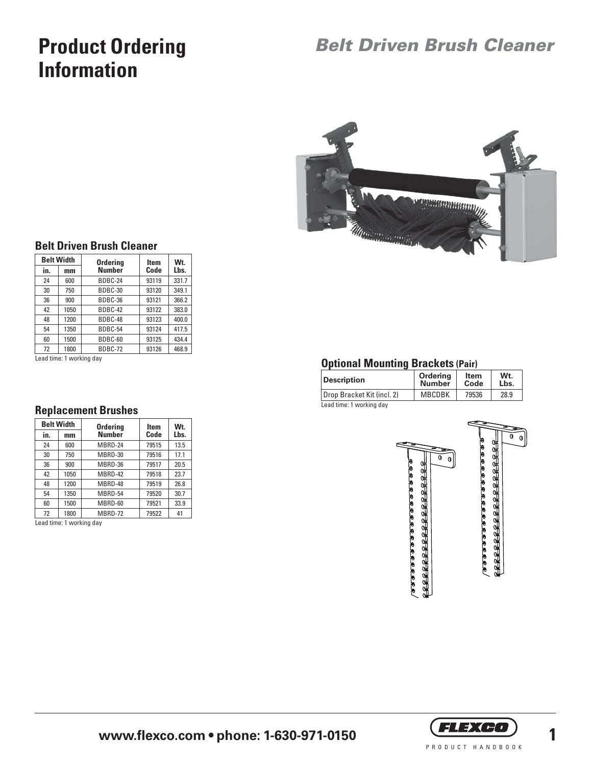# **Product Ordering Information**

## *Belt Driven Brush Cleaner*



#### **Belt Driven Brush Cleaner**

| <b>Belt Width</b> |      | <b>Ordering</b> | <b>Item</b> | Wt.   |  |
|-------------------|------|-----------------|-------------|-------|--|
| in.               | mm   | <b>Number</b>   | Code        | Lbs.  |  |
| 24                | 600  | BDBC-24         | 93119       | 331.7 |  |
| 30                | 750  | BDBC-30         | 93120       | 349.1 |  |
| 36                | 900  | BDBC-36         | 93121       | 366.2 |  |
| 42                | 1050 | BDBC-42         | 93122       | 383.0 |  |
| 48                | 1200 | BDBC-48         | 93123       | 400.0 |  |
| 54                | 1350 | BDBC-54         | 93124       | 417.5 |  |
| 60                | 1500 | BDBC-60         | 93125       | 434.4 |  |
| 72                | 1800 | BDBC-72         | 93126       | 468.9 |  |

Lead time: 1 working day

#### **Replacement Brushes**

| <b>Belt Width</b> |      | <b>Ordering</b> | <b>Item</b> | Wt.  |  |
|-------------------|------|-----------------|-------------|------|--|
| in.               | mm   | <b>Number</b>   | Code        | Lbs. |  |
| 24                | 600  | MBRD-24         | 79515       | 13.5 |  |
| 30                | 750  | MBRD-30         | 79516       | 17.1 |  |
| 36                | 900  | MBRD-36         | 79517       | 20.5 |  |
| 42                | 1050 | MBRD-42         | 79518       | 23.7 |  |
| 48                | 1200 | MBRD-48         | 79519       | 26.8 |  |
| 54                | 1350 | MBRD-54         | 79520       | 30.7 |  |
| 60                | 1500 | MBRD-60         | 79521       | 33.9 |  |
| 72                | 1800 | MBRD-72         | 79522       | 41   |  |

Lead time: 1 working day

### **Optional Mounting Brackets (Pair)**

| Description                | Ordering<br><b>Number</b> | <b>Item</b><br>Code | Wt.<br>Lbs. |
|----------------------------|---------------------------|---------------------|-------------|
| Drop Bracket Kit (incl. 2) | <b>MBCDBK</b>             | 79536               | 28.9        |

Lead time: 1 working day



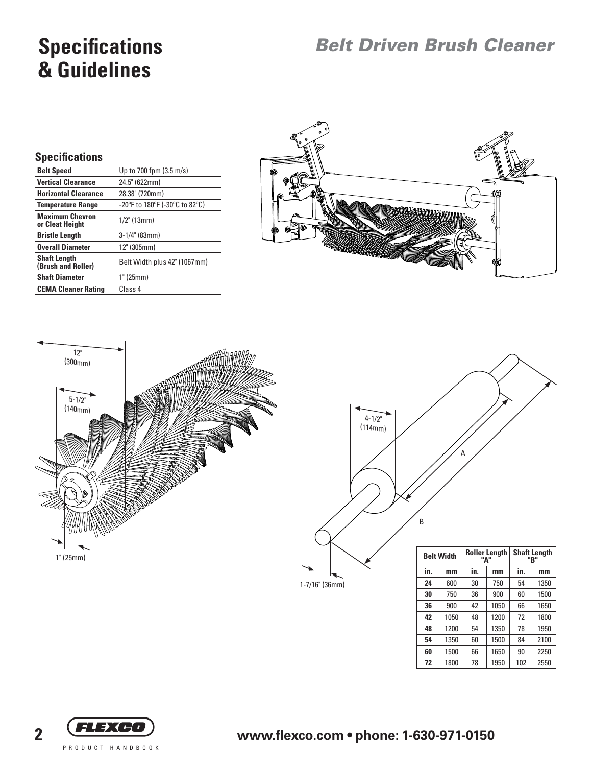# **Specifications & Guidelines**

## *Belt Driven Brush Cleaner*

#### **Specifications**

| <b>Belt Speed</b>                         | Up to 700 fpm (3.5 m/s)        |
|-------------------------------------------|--------------------------------|
| <b>Vertical Clearance</b>                 | 24.5" (622mm)                  |
| <b>Horizontal Clearance</b>               | 28.38" (720mm)                 |
| <b>Temperature Range</b>                  | -20°F to 180°F (-30°C to 82°C) |
| <b>Maximum Chevron</b><br>or Cleat Height | $1/2$ " (13mm)                 |
| <b>Bristle Length</b>                     | $3-1/4$ " (83mm)               |
| <b>Overall Diameter</b>                   | 12" (305mm)                    |
| <b>Shaft Length</b><br>(Brush and Roller) | Belt Width plus 42" (1067mm)   |
| <b>Shaft Diameter</b>                     | 1" (25mm)                      |
| <b>CEMA Cleaner Rating</b>                | Class 4                        |







1-7/16" (36mm)

|     |      |     | "А"  | "В" |      |
|-----|------|-----|------|-----|------|
| in. | mm   | in. | mm   | in. | mm   |
| 24  | 600  | 30  | 750  | 54  | 1350 |
| 30  | 750  | 36  | 900  | 60  | 1500 |
| 36  | 900  | 42  | 1050 | 66  | 1650 |
| 42  | 1050 | 48  | 1200 | 72  | 1800 |
| 48  | 1200 | 54  | 1350 | 78  | 1950 |
| 54  | 1350 | 60  | 1500 | 84  | 2100 |
| 60  | 1500 | 66  | 1650 | 90  | 2250 |
| 72  | 1800 | 78  | 1950 | 102 | 2550 |



# **2 www.flexco.com • phone: 1-630-971-0150**